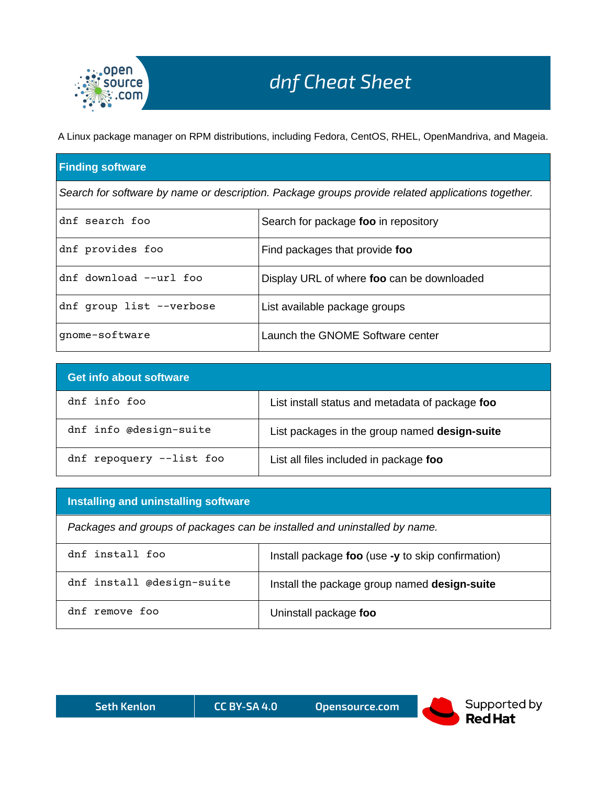

A Linux package manager on RPM distributions, including Fedora, CentOS, RHEL, OpenMandriva, and Mageia.

## **Finding software**

*Search for software by name or description. Package groups provide related applications together.*

| dnf search foo           | Search for package foo in repository       |  |
|--------------------------|--------------------------------------------|--|
| dnf provides foo         | Find packages that provide foo             |  |
| dnf download --url foo   | Display URL of where foo can be downloaded |  |
| dnf group list --verbose | List available package groups              |  |
| gnome-software           | Launch the GNOME Software center           |  |

| <b>Get info about software</b> |                                                 |  |
|--------------------------------|-------------------------------------------------|--|
| dnf info foo                   | List install status and metadata of package foo |  |
| dnf info @design-suite         | List packages in the group named design-suite   |  |
| dnf repoquery --list foo       | List all files included in package foo          |  |

## **Installing and uninstalling software**

*Packages and groups of packages can be installed and uninstalled by name.*

| dnf install foo           | Install package foo (use -y to skip confirmation) |
|---------------------------|---------------------------------------------------|
| dnf install @design-suite | Install the package group named design-suite      |
| dnf remove foo            | Uninstall package foo                             |